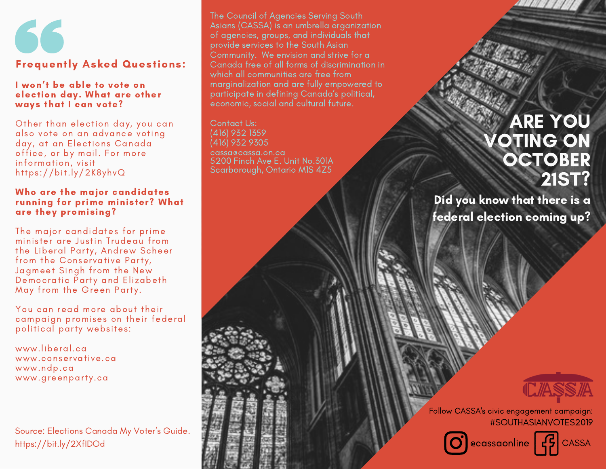

#### I won't be able to vote on election day. What are other ways that I can vote?

Other than election day, you can also vote on an advance voting day, at an Elections Canada office, or by mail. For more information, visit https://bit.ly/2K8yhvQ

#### Who are the major candidates running for prime minister? What are they promising?

The major candidates for prime minister are Justin Trudeau from the Liberal Party, Andrew Scheer from the Conservative Party, Jagmeet Singh from the New Democratic Party and Elizabeth May from the Green Party.

You can read more about their campaign promises on their federal political party websites:

www.liberal.ca www.conservative.ca www.ndp.ca www.greenparty.ca

Source: Elections Canada My Voter's Guide. https://bit.ly/2XfIDOd

The Council of Agencies Serving South Asians (CASSA) is an umbrella organization of agencies, groups, and individuals that provide services to the South Asian Community. We envision and strive for a Canada free of all forms of discrimination in which all communities are free from marginalization and are fully empowered to participate in defining Canada's political, economic, social and cultural future.

Contact Us: (416) 932 1359 (416) 932 9305 cassa@cassa.on.ca 5200 Finch Ave E. Unit No.301A Scarborough, Ontario M1S 4Z5

# ARE YOU **OTING ON OCTOBER** 21ST?

Did you know that there is a federal election coming up?



Follow CASSA's civic engagement campaign: #SOUTHASIANVOTES2019



O ecassaonline G CASSA